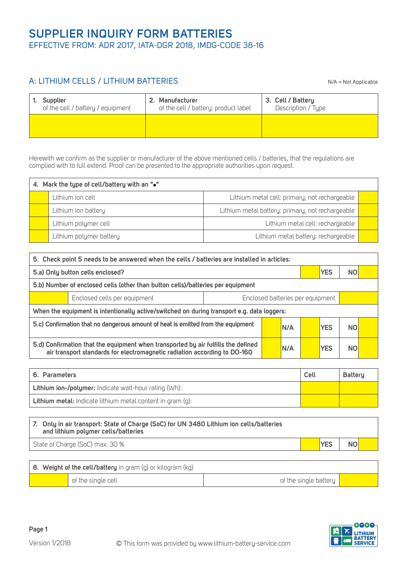## A: LITHIUM CELLS / LITHIUM BATTERIES

N/A = Not Applicable

| Supplier                          | 2. Manufacturer                      | 3. Cell / Battery  |
|-----------------------------------|--------------------------------------|--------------------|
| of the cell / battery / equipment | of the cell / battery: product label | Description / Type |
|                                   |                                      |                    |

Herewith we confirm as the supplier or manufacturer of the above mentioned cells / batteries, that the regulations are complied with to full extend. Proof can be presented to the appropriate authorities upon request.

| 4. Mark the type of cell/battery with an "." |                         |                                                  |  |  |  |  |
|----------------------------------------------|-------------------------|--------------------------------------------------|--|--|--|--|
|                                              | Lithium ion cell        | Lithium metal cell: primary, not rechargeable    |  |  |  |  |
|                                              | Lithium ion battery     | Lithium metal battery: primary, not rechargeable |  |  |  |  |
|                                              | Lithium polymer cell    | Lithium metal cell: rechargeable                 |  |  |  |  |
|                                              | Lithium polymer battery | Lithium metal battery: rechargeable              |  |  |  |  |

| 5. Check point 5 needs to be answered when the cells / batteries are installed in articles:                                                                            |                                                                                            |  |  |            |                |  |  |
|------------------------------------------------------------------------------------------------------------------------------------------------------------------------|--------------------------------------------------------------------------------------------|--|--|------------|----------------|--|--|
| <b>YES</b><br>5.a) Only button cells enclosed?                                                                                                                         |                                                                                            |  |  |            | NO             |  |  |
| 5.b) Number of enclosed cells (other than button cells)/batteries per equipment                                                                                        |                                                                                            |  |  |            |                |  |  |
|                                                                                                                                                                        | Enclosed batteries per equipment<br>Enclosed cells per equipment                           |  |  |            |                |  |  |
|                                                                                                                                                                        | When the equipment is intentionally active/switched on during transport e.g. data loggers: |  |  |            |                |  |  |
| 5.c) Confirmation that no dangerous amount of heat is emitted from the equipment<br><b>YES</b><br>IN/A                                                                 |                                                                                            |  |  |            | N <sub>O</sub> |  |  |
| 5.d) Confirmation that the equipment when transported by air fulfills the defined<br>IN/A<br>air transport standards for electromagnetic radiation according to DO-160 |                                                                                            |  |  | <b>YES</b> | N <sub>O</sub> |  |  |

| 6. Parameters                                                     | Cell | Battery |
|-------------------------------------------------------------------|------|---------|
| <b>Lithium ion-/polymer:</b> Indicate watt-hour rating (Wh):      |      |         |
| <b>Lithium metal:</b> Indicate lithium metal content in gram (g): |      |         |

| 7. Only in air transport: State of Charge (SoC) for UN 3480 Lithium ion cells/batteries<br>and lithium polymer cells/batteries |  |            |     |  |
|--------------------------------------------------------------------------------------------------------------------------------|--|------------|-----|--|
| State of Charge (SoC) max. 30 %                                                                                                |  | <b>YES</b> | NO. |  |
|                                                                                                                                |  |            |     |  |

| 8. Weight of the cell/battery in gram (g) or kilogram (kg) |                    |                       |  |  |  |
|------------------------------------------------------------|--------------------|-----------------------|--|--|--|
|                                                            | of the single cell | of the single battery |  |  |  |